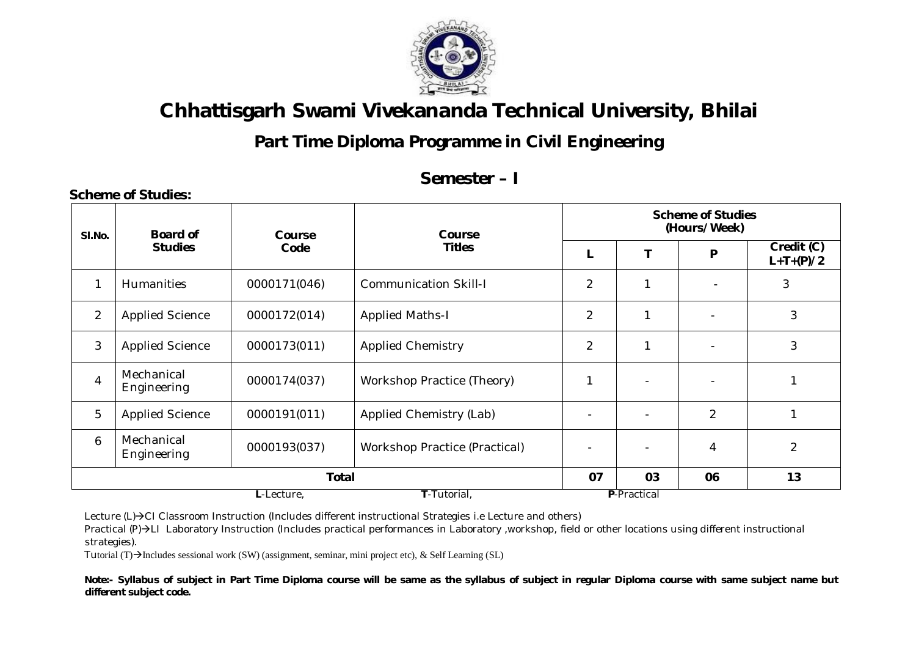

## **Part Time Diploma Programme in Civil Engineering**

### **Semester – I**

| SI.No.         | <b>Board of</b>           | Course       | <b>Course</b><br><b>Titles</b>       | <b>Scheme of Studies</b><br>(Hours/Week) |    |                |                                        |  |  |  |
|----------------|---------------------------|--------------|--------------------------------------|------------------------------------------|----|----------------|----------------------------------------|--|--|--|
|                | <b>Studies</b>            | Code         |                                      |                                          |    | P              | $\overline{Credit}$ (C)<br>$L+T+(P)/2$ |  |  |  |
| 1              | <b>Humanities</b>         | 0000171(046) | <b>Communication Skill-I</b>         | $\overline{2}$                           |    |                | 3                                      |  |  |  |
| $\overline{2}$ | <b>Applied Science</b>    | 0000172(014) | <b>Applied Maths-I</b>               | $\overline{2}$                           |    |                | 3                                      |  |  |  |
| 3              | <b>Applied Science</b>    | 0000173(011) | <b>Applied Chemistry</b>             | $\overline{2}$                           |    |                | 3                                      |  |  |  |
| $\overline{4}$ | Mechanical<br>Engineering | 0000174(037) | Workshop Practice (Theory)           | 1                                        |    |                |                                        |  |  |  |
| 5              | <b>Applied Science</b>    | 0000191(011) | Applied Chemistry (Lab)              | $\overline{\phantom{a}}$                 |    | $\overline{2}$ | 1                                      |  |  |  |
| 6              | Mechanical<br>Engineering | 0000193(037) | <b>Workshop Practice (Practical)</b> |                                          |    | $\overline{4}$ | $\overline{2}$                         |  |  |  |
|                |                           | 07           | 03                                   | 06                                       | 13 |                |                                        |  |  |  |
|                |                           |              | P-Practical                          |                                          |    |                |                                        |  |  |  |

Lecture (L)->CI Classroom Instruction (Includes different instructional Strategies i.e Lecture and others)

Practical (P)->LI Laboratory Instruction (Includes practical performances in Laboratory ,workshop, field or other locations using different instructional strategies).

Tutorial (T) $\rightarrow$ Includes sessional work (SW) (assignment, seminar, mini project etc), & Self Learning (SL)

**Scheme of Studies:**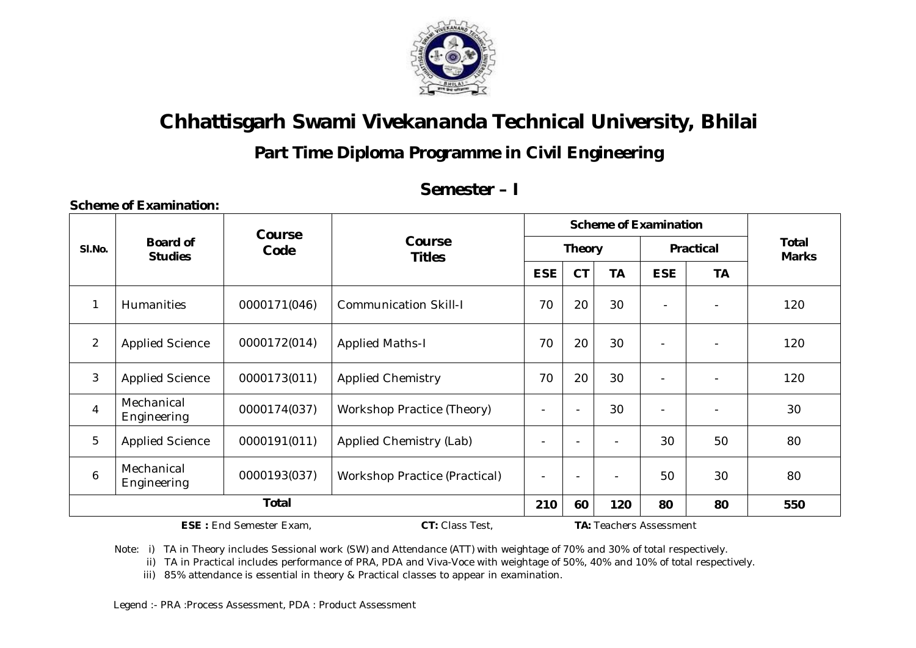

### **Part Time Diploma Programme in Civil Engineering**

### **Semester – I**

|                |                                   | Course                         |                                      |                          |               | <b>Scheme of Examination</b> |                          |                          |                              |
|----------------|-----------------------------------|--------------------------------|--------------------------------------|--------------------------|---------------|------------------------------|--------------------------|--------------------------|------------------------------|
| SI.No.         | <b>Board of</b><br><b>Studies</b> | Code                           | Course<br><b>Titles</b>              |                          | <b>Theory</b> |                              |                          | <b>Practical</b>         | <b>Total</b><br><b>Marks</b> |
|                |                                   |                                |                                      | <b>ESE</b>               | <b>CT</b>     | <b>TA</b>                    | <b>ESE</b>               | <b>TA</b>                |                              |
| $\mathbf{1}$   | <b>Humanities</b>                 | 0000171(046)                   | <b>Communication Skill-I</b>         | 70                       | 20            | 30                           |                          |                          | 120                          |
| $\overline{2}$ | <b>Applied Science</b>            | 0000172(014)                   | <b>Applied Maths-I</b>               | 70                       | 20            | 30                           | $\blacksquare$           |                          | 120                          |
| $\mathbf{3}$   | <b>Applied Science</b>            | 0000173(011)                   | <b>Applied Chemistry</b>             | 70                       | 20            | 30                           | $\overline{\phantom{a}}$ | $\overline{\phantom{a}}$ | 120                          |
| $\overline{4}$ | Mechanical<br>Engineering         | 0000174(037)                   | Workshop Practice (Theory)           |                          |               | 30                           | $\overline{\phantom{a}}$ |                          | 30                           |
| 5              | <b>Applied Science</b>            | 0000191(011)                   | Applied Chemistry (Lab)              | $\overline{\phantom{a}}$ |               |                              | 30                       | 50                       | 80                           |
| 6              | Mechanical<br>Engineering         | 0000193(037)                   | <b>Workshop Practice (Practical)</b> | $\blacksquare$           |               |                              | 50                       | 30                       | 80                           |
|                | <b>Total</b>                      |                                |                                      |                          |               | 120                          | 80                       | 80                       | 550                          |
|                |                                   | <b>ESE: End Semester Exam,</b> |                                      |                          |               | TA: Teachers Assessment      |                          |                          |                              |

**Scheme of Examination:** 

Note: i) TA in Theory includes Sessional work (SW) and Attendance (ATT) with weightage of 70% and 30% of total respectively.

ii) TA in Practical includes performance of PRA, PDA and Viva-Voce with weightage of 50%, 40% and 10% of total respectively.

iii) 85% attendance is essential in theory & Practical classes to appear in examination.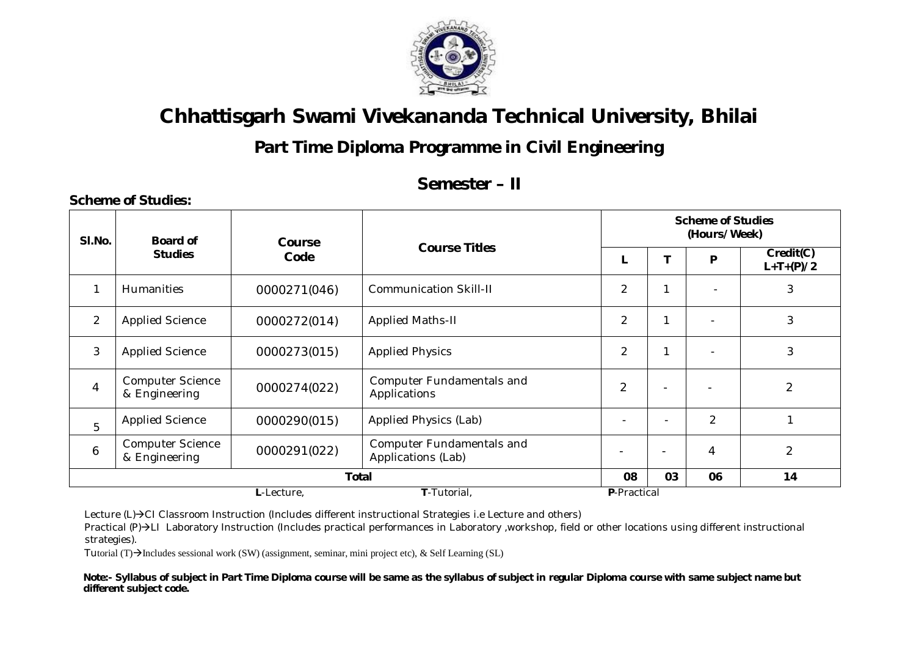

### **Part Time Diploma Programme in Civil Engineering**

#### **Semester – II**

| SI.No.         | Board of                                 | Course       | <b>Course Titles</b>                                   |                          | <b>Scheme of Studies</b><br>(Hours/Week) |                |                          |  |  |  |
|----------------|------------------------------------------|--------------|--------------------------------------------------------|--------------------------|------------------------------------------|----------------|--------------------------|--|--|--|
|                | <b>Studies</b>                           | Code         |                                                        |                          |                                          | P              | Credit(C)<br>$L+T+(P)/2$ |  |  |  |
| 1              | <b>Humanities</b>                        | 0000271(046) | <b>Communication Skill-II</b>                          | 2                        |                                          |                | 3                        |  |  |  |
| $\overline{2}$ | <b>Applied Science</b>                   | 0000272(014) | <b>Applied Maths-II</b>                                | $\overline{2}$           |                                          | $\blacksquare$ | 3                        |  |  |  |
| 3              | <b>Applied Science</b>                   | 0000273(015) | <b>Applied Physics</b>                                 | 2                        |                                          | $\blacksquare$ | 3                        |  |  |  |
| $\overline{4}$ | <b>Computer Science</b><br>& Engineering | 0000274(022) | <b>Computer Fundamentals and</b><br>Applications       | $\overline{2}$           |                                          |                | 2                        |  |  |  |
| 5              | <b>Applied Science</b>                   | 0000290(015) | Applied Physics (Lab)                                  |                          | $\overline{\phantom{0}}$                 | $\overline{2}$ |                          |  |  |  |
| 6              | <b>Computer Science</b><br>& Engineering | 0000291(022) | <b>Computer Fundamentals and</b><br>Applications (Lab) | $\overline{\phantom{a}}$ | $\overline{\phantom{0}}$                 | $\overline{4}$ | $\overline{2}$           |  |  |  |
|                | <b>Total</b>                             |              |                                                        |                          |                                          | 06             | 14                       |  |  |  |
|                |                                          | L-Lecture,   | P-Practical                                            |                          |                                          |                |                          |  |  |  |

Lecture (L)->CI Classroom Instruction (Includes different instructional Strategies i.e Lecture and others)

Practical (P)->LI Laboratory Instruction (Includes practical performances in Laboratory ,workshop, field or other locations using different instructional strategies).

Tutorial (T) $\rightarrow$ Includes sessional work (SW) (assignment, seminar, mini project etc), & Self Learning (SL)

**Scheme of Studies:**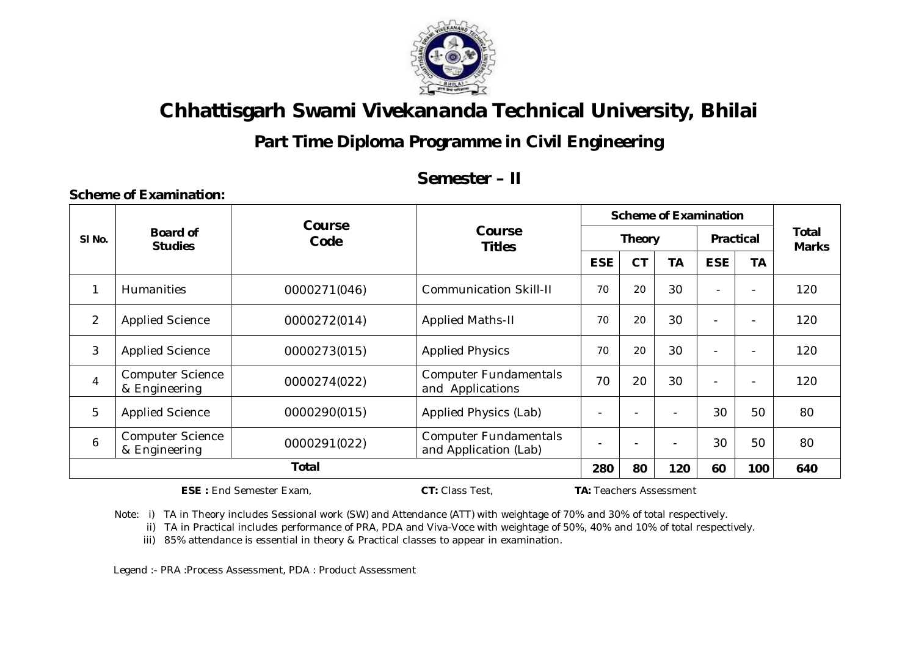

**Part Time Diploma Programme in Civil Engineering** 

### **Semester – II**

|                   |                                          | Course       |                                                       |                          |               | <b>Scheme of Examination</b> |                          |                          | Total<br><b>Marks</b> |
|-------------------|------------------------------------------|--------------|-------------------------------------------------------|--------------------------|---------------|------------------------------|--------------------------|--------------------------|-----------------------|
| SI <sub>No.</sub> | <b>Board of</b><br><b>Studies</b>        | Code         | <b>Course</b><br><b>Titles</b>                        |                          | <b>Theory</b> |                              | <b>Practical</b>         |                          |                       |
|                   |                                          |              |                                                       | <b>ESE</b>               | <b>CT</b>     | <b>TA</b>                    | <b>ESE</b>               | <b>TA</b>                |                       |
| 1                 | <b>Humanities</b>                        | 0000271(046) | <b>Communication Skill-II</b>                         | 70                       | 20            | 30                           |                          | $\overline{\phantom{0}}$ | 120                   |
| $\overline{2}$    | <b>Applied Science</b>                   | 0000272(014) | <b>Applied Maths-II</b>                               | 70                       | 20            | 30                           | $\overline{\phantom{a}}$ | $\overline{\phantom{a}}$ | 120                   |
| 3                 | <b>Applied Science</b>                   | 0000273(015) | <b>Applied Physics</b>                                | 70                       | 20            | 30                           |                          | $\overline{\phantom{0}}$ | 120                   |
| $\overline{4}$    | <b>Computer Science</b><br>& Engineering | 0000274(022) | <b>Computer Fundamentals</b><br>and Applications      | 70                       | 20            | 30                           | $\overline{\phantom{a}}$ |                          | 120                   |
| 5                 | <b>Applied Science</b>                   | 0000290(015) | Applied Physics (Lab)                                 | $\overline{\phantom{0}}$ |               |                              | 30                       | 50                       | 80                    |
| 6                 | <b>Computer Science</b><br>& Engineering | 0000291(022) | <b>Computer Fundamentals</b><br>and Application (Lab) |                          |               |                              | 30                       | 50                       | 80                    |
|                   |                                          | 280          | 80                                                    | 120                      | 60            | 100                          | 640                      |                          |                       |

**ESE :** End Semester Exam, **CT:** Class Test, **TA:** Teachers Assessment

**Scheme of Examination:** 

Note: i) TA in Theory includes Sessional work (SW) and Attendance (ATT) with weightage of 70% and 30% of total respectively.

ii) TA in Practical includes performance of PRA, PDA and Viva-Voce with weightage of 50%, 40% and 10% of total respectively.

iii) 85% attendance is essential in theory & Practical classes to appear in examination.

Legend :- PRA :Process Assessment, PDA : Product Assessment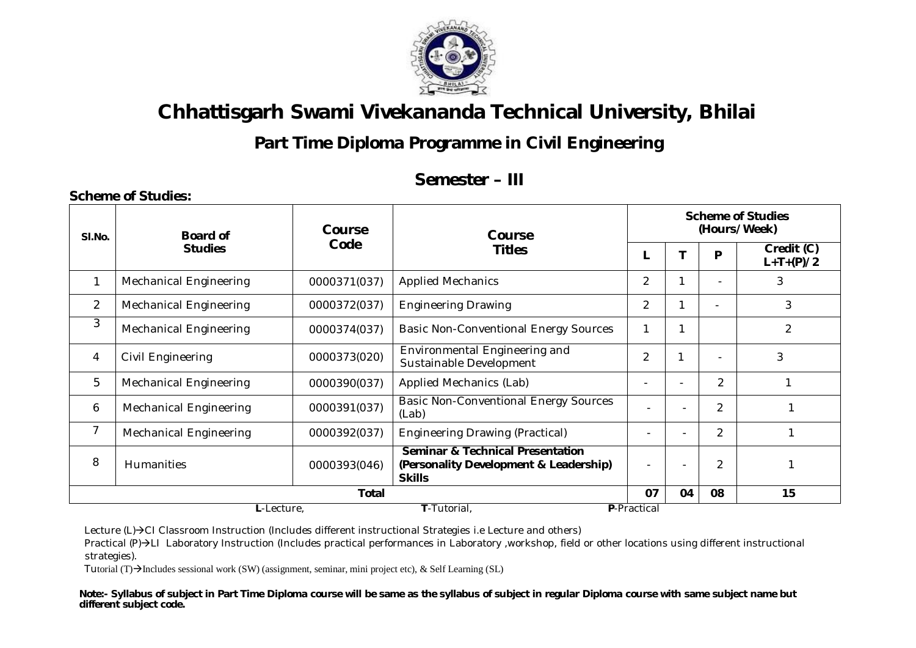

### **Part Time Diploma Programme in Civil Engineering**

#### **Semester – III**

| Code<br>Credit (C)<br><b>Studies</b><br><b>Titles</b><br>P<br>$L+T+(P)/2$<br>3<br>$\overline{2}$<br><b>Applied Mechanics</b><br>$\mathbf{1}$<br><b>Mechanical Engineering</b><br>0000371(037)<br>3<br>$\overline{2}$<br>$\overline{2}$<br><b>Mechanical Engineering</b><br><b>Engineering Drawing</b><br>0000372(037)<br>3<br>2<br><b>Mechanical Engineering</b><br><b>Basic Non-Conventional Energy Sources</b><br>0000374(037)<br>Environmental Engineering and<br>$\overline{2}$<br>3<br>4<br>Civil Engineering<br>0000373(020)<br>Sustainable Development<br>5<br>$\overline{2}$<br><b>Mechanical Engineering</b><br>Applied Mechanics (Lab)<br>0000390(037)<br>$\overline{\phantom{0}}$<br><b>Basic Non-Conventional Energy Sources</b><br>$\overline{2}$<br><b>Mechanical Engineering</b><br>0000391(037)<br>6<br>$\blacksquare$<br>(Lab)<br>$\overline{7}$<br>$\overline{2}$<br><b>Mechanical Engineering</b><br><b>Engineering Drawing (Practical)</b><br>0000392(037)<br>$\qquad \qquad \blacksquare$<br><b>Seminar &amp; Technical Presentation</b><br>8<br>$\overline{2}$<br><b>Humanities</b><br>(Personality Development & Leadership)<br>0000393(046)<br>۰<br><b>Skills</b><br>07<br>15<br><b>Total</b><br>08<br>04 | SI.No. | <b>Board of</b> | <b>Course</b> | Course |  | <b>Scheme of Studies</b><br>(Hours/Week) |  |  |  |  |  |
|-----------------------------------------------------------------------------------------------------------------------------------------------------------------------------------------------------------------------------------------------------------------------------------------------------------------------------------------------------------------------------------------------------------------------------------------------------------------------------------------------------------------------------------------------------------------------------------------------------------------------------------------------------------------------------------------------------------------------------------------------------------------------------------------------------------------------------------------------------------------------------------------------------------------------------------------------------------------------------------------------------------------------------------------------------------------------------------------------------------------------------------------------------------------------------------------------------------------------------------|--------|-----------------|---------------|--------|--|------------------------------------------|--|--|--|--|--|
|                                                                                                                                                                                                                                                                                                                                                                                                                                                                                                                                                                                                                                                                                                                                                                                                                                                                                                                                                                                                                                                                                                                                                                                                                                   |        |                 |               |        |  |                                          |  |  |  |  |  |
|                                                                                                                                                                                                                                                                                                                                                                                                                                                                                                                                                                                                                                                                                                                                                                                                                                                                                                                                                                                                                                                                                                                                                                                                                                   |        |                 |               |        |  |                                          |  |  |  |  |  |
|                                                                                                                                                                                                                                                                                                                                                                                                                                                                                                                                                                                                                                                                                                                                                                                                                                                                                                                                                                                                                                                                                                                                                                                                                                   |        |                 |               |        |  |                                          |  |  |  |  |  |
|                                                                                                                                                                                                                                                                                                                                                                                                                                                                                                                                                                                                                                                                                                                                                                                                                                                                                                                                                                                                                                                                                                                                                                                                                                   |        |                 |               |        |  |                                          |  |  |  |  |  |
|                                                                                                                                                                                                                                                                                                                                                                                                                                                                                                                                                                                                                                                                                                                                                                                                                                                                                                                                                                                                                                                                                                                                                                                                                                   |        |                 |               |        |  |                                          |  |  |  |  |  |
|                                                                                                                                                                                                                                                                                                                                                                                                                                                                                                                                                                                                                                                                                                                                                                                                                                                                                                                                                                                                                                                                                                                                                                                                                                   |        |                 |               |        |  |                                          |  |  |  |  |  |
|                                                                                                                                                                                                                                                                                                                                                                                                                                                                                                                                                                                                                                                                                                                                                                                                                                                                                                                                                                                                                                                                                                                                                                                                                                   |        |                 |               |        |  |                                          |  |  |  |  |  |
|                                                                                                                                                                                                                                                                                                                                                                                                                                                                                                                                                                                                                                                                                                                                                                                                                                                                                                                                                                                                                                                                                                                                                                                                                                   |        |                 |               |        |  |                                          |  |  |  |  |  |
|                                                                                                                                                                                                                                                                                                                                                                                                                                                                                                                                                                                                                                                                                                                                                                                                                                                                                                                                                                                                                                                                                                                                                                                                                                   |        |                 |               |        |  |                                          |  |  |  |  |  |
|                                                                                                                                                                                                                                                                                                                                                                                                                                                                                                                                                                                                                                                                                                                                                                                                                                                                                                                                                                                                                                                                                                                                                                                                                                   |        |                 |               |        |  |                                          |  |  |  |  |  |

Lecture (L)->CI Classroom Instruction (Includes different instructional Strategies i.e Lecture and others)

Practical (P)->LI Laboratory Instruction (Includes practical performances in Laboratory ,workshop, field or other locations using different instructional strategies).

Tutorial (T) $\rightarrow$ Includes sessional work (SW) (assignment, seminar, mini project etc), & Self Learning (SL)

**Scheme of Studies:**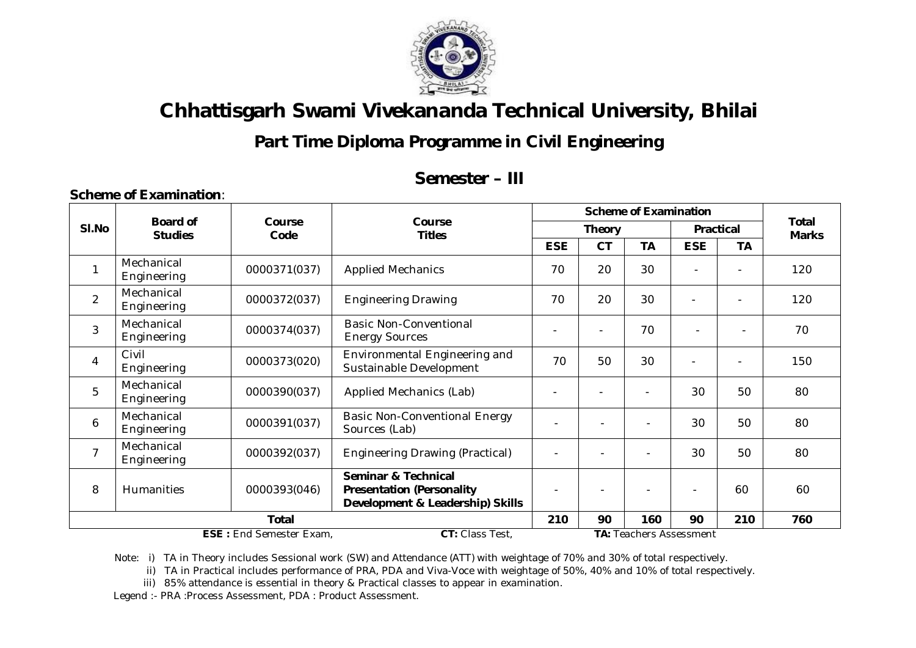

### **Part Time Diploma Programme in Civil Engineering**

### **Semester – III**

|                                                                                     |                                   |                |                                                                                                        |            |                | <b>Scheme of Examination</b> |                |           |                              |
|-------------------------------------------------------------------------------------|-----------------------------------|----------------|--------------------------------------------------------------------------------------------------------|------------|----------------|------------------------------|----------------|-----------|------------------------------|
| SI.No                                                                               | <b>Board of</b><br><b>Studies</b> | Course<br>Code | Course<br><b>Titles</b>                                                                                |            | <b>Theory</b>  |                              | Practical      |           | <b>Total</b><br><b>Marks</b> |
|                                                                                     |                                   |                |                                                                                                        | <b>ESE</b> | <b>CT</b>      | <b>TA</b>                    | <b>ESE</b>     | <b>TA</b> |                              |
| 1                                                                                   | Mechanical<br>Engineering         | 0000371(037)   | <b>Applied Mechanics</b>                                                                               | 70         | 20             | 30                           |                |           | 120                          |
| $\overline{2}$                                                                      | Mechanical<br>Engineering         | 0000372(037)   | <b>Engineering Drawing</b>                                                                             | 70         | 20             | 30                           | $\blacksquare$ |           | 120                          |
| 3                                                                                   | Mechanical<br>Engineering         | 0000374(037)   | <b>Basic Non-Conventional</b><br><b>Energy Sources</b>                                                 |            | $\blacksquare$ | 70                           |                |           | 70                           |
| $\overline{4}$                                                                      | Civil<br>Engineering              | 0000373(020)   | Environmental Engineering and<br>Sustainable Development                                               | 70         | 50             | 30                           |                |           | 150                          |
| 5                                                                                   | Mechanical<br>Engineering         | 0000390(037)   | Applied Mechanics (Lab)                                                                                |            | $\blacksquare$ | -                            | 30             | 50        | 80                           |
| 6                                                                                   | Mechanical<br>Engineering         | 0000391(037)   | <b>Basic Non-Conventional Energy</b><br>Sources (Lab)                                                  |            |                |                              | 30             | 50        | 80                           |
| $\overline{7}$                                                                      | Mechanical<br>Engineering         | 0000392(037)   | <b>Engineering Drawing (Practical)</b>                                                                 |            |                |                              | 30             | 50        | 80                           |
| 8                                                                                   | <b>Humanities</b>                 | 0000393(046)   | <b>Seminar &amp; Technical</b><br><b>Presentation (Personality</b><br>Development & Leadership) Skills |            |                |                              |                | 60        | 60                           |
|                                                                                     |                                   | 210            | 90                                                                                                     | 160        | 90             | 210                          | 760            |           |                              |
| CT: Class Test,<br><b>ESE: End Semester Exam,</b><br><b>TA: Teachers Assessment</b> |                                   |                |                                                                                                        |            |                |                              |                |           |                              |

Note: i) TA in Theory includes Sessional work (SW) and Attendance (ATT) with weightage of 70% and 30% of total respectively.

ii) TA in Practical includes performance of PRA, PDA and Viva-Voce with weightage of 50%, 40% and 10% of total respectively.

iii) 85% attendance is essential in theory & Practical classes to appear in examination.

Legend :- PRA :Process Assessment, PDA : Product Assessment.

 **Scheme of Examination**: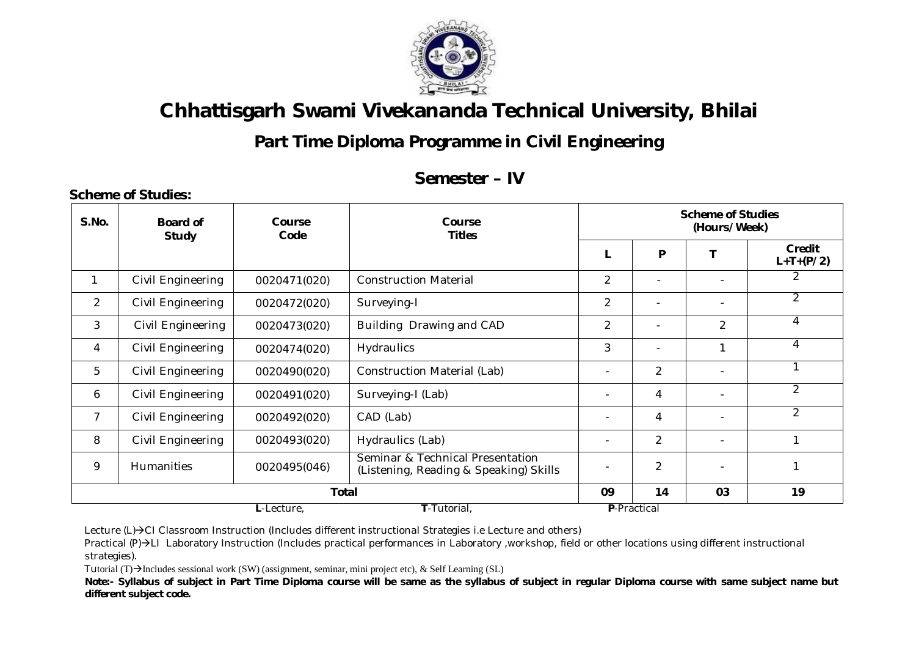

## **Part Time Diploma Programme in Civil Engineering**

### **Semester – IV**

| S.No.          | <b>Board of</b><br><b>Study</b> | Course<br>Code | Course<br><b>Titles</b>                                                    |                |               | <b>Scheme of Studies</b><br>(Hours/Week) |                       |
|----------------|---------------------------------|----------------|----------------------------------------------------------------------------|----------------|---------------|------------------------------------------|-----------------------|
|                |                                 |                |                                                                            |                | P             |                                          | Credit<br>$L+T+(P/2)$ |
| 1              | Civil Engineering               | 0020471(020)   | <b>Construction Material</b>                                               | $\overline{2}$ |               |                                          | 2                     |
| 2              | Civil Engineering               | 0020472(020)   | Surveying-I                                                                | $\overline{2}$ |               | $\overline{\phantom{0}}$                 | $\overline{2}$        |
| 3              | Civil Engineering               | 0020473(020)   | Building Drawing and CAD                                                   | $\overline{2}$ |               | $\overline{2}$                           | 4                     |
| 4              | Civil Engineering               | 0020474(020)   | <b>Hydraulics</b>                                                          | 3              |               |                                          | 4                     |
| 5              | Civil Engineering               | 0020490(020)   | <b>Construction Material (Lab)</b>                                         |                | 2             |                                          | 1                     |
| 6              | Civil Engineering               | 0020491(020)   | Surveying-I (Lab)                                                          |                | 4             |                                          | $\overline{2}$        |
| $\overline{7}$ | Civil Engineering               | 0020492(020)   | CAD (Lab)                                                                  |                | 4             |                                          | $\overline{2}$        |
| 8              | Civil Engineering               | 0020493(020)   | Hydraulics (Lab)                                                           |                | 2             |                                          | 1                     |
| 9              | Humanities                      | 0020495(046)   | Seminar & Technical Presentation<br>(Listening, Reading & Speaking) Skills |                | $\mathcal{P}$ |                                          |                       |
|                | <b>Total</b>                    |                |                                                                            |                |               | 03                                       | 19                    |
|                | T-Tutorial,<br>L-Lecture,       |                |                                                                            |                |               |                                          |                       |

Lecture (L)->CI Classroom Instruction (Includes different instructional Strategies i.e Lecture and others)

Practical (P)->LI Laboratory Instruction (Includes practical performances in Laboratory ,workshop, field or other locations using different instructional strategies).

Tutorial (T) $\rightarrow$ Includes sessional work (SW) (assignment, seminar, mini project etc), & Self Learning (SL)

**Scheme of Studies:**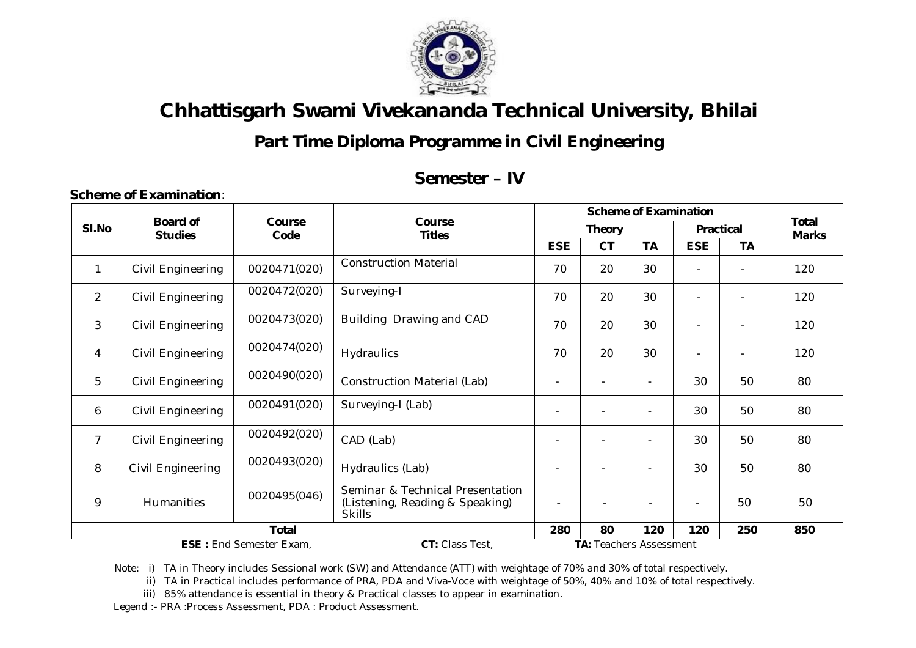

## **Part Time Diploma Programme in Civil Engineering**

#### **Semester – IV**

|                |                                   |                |                                                                                      |                                |                          | <b>Scheme of Examination</b> |                |           | <b>Total</b><br><b>Marks</b> |
|----------------|-----------------------------------|----------------|--------------------------------------------------------------------------------------|--------------------------------|--------------------------|------------------------------|----------------|-----------|------------------------------|
| SI.No          | <b>Board of</b><br><b>Studies</b> | Course<br>Code | Course<br><b>Titles</b>                                                              |                                | <b>Theory</b>            |                              | Practical      |           |                              |
|                |                                   |                |                                                                                      | <b>ESE</b>                     | <b>CT</b>                | <b>TA</b>                    | <b>ESE</b>     | <b>TA</b> |                              |
| 1              | Civil Engineering                 | 0020471(020)   | <b>Construction Material</b>                                                         | 70                             | 20                       | 30                           |                |           | 120                          |
| $\overline{2}$ | Civil Engineering                 | 0020472(020)   | Surveying-I                                                                          | 70                             | 20                       | 30                           |                |           | 120                          |
| 3              | Civil Engineering                 | 0020473(020)   | Building Drawing and CAD                                                             | 70                             | 20                       | 30                           |                |           | 120                          |
| 4              | Civil Engineering                 | 0020474(020)   | Hydraulics                                                                           | 70                             | 20                       | 30                           |                |           | 120                          |
| 5              | Civil Engineering                 | 0020490(020)   | <b>Construction Material (Lab)</b>                                                   |                                | $\overline{\phantom{0}}$ |                              | 30             | 50        | 80                           |
| 6              | Civil Engineering                 | 0020491(020)   | Surveying-I (Lab)                                                                    |                                | ٠                        |                              | 30             | 50        | 80                           |
| $\overline{7}$ | Civil Engineering                 | 0020492(020)   | CAD (Lab)                                                                            |                                | $\overline{\phantom{0}}$ |                              | 30             | 50        | 80                           |
| 8              | Civil Engineering                 | 0020493(020)   | Hydraulics (Lab)                                                                     |                                | $\overline{\phantom{0}}$ |                              | 30             | 50        | 80                           |
| 9              | Humanities                        | 0020495(046)   | Seminar & Technical Presentation<br>(Listening, Reading & Speaking)<br><b>Skills</b> |                                |                          |                              | $\blacksquare$ | 50        | 50                           |
|                | <b>Total</b>                      |                |                                                                                      |                                | 80                       | 120                          | 120            | 250       | 850                          |
|                | <b>ESE: End Semester Exam,</b>    |                |                                                                                      | <b>TA: Teachers Assessment</b> |                          |                              |                |           |                              |

Note: i) TA in Theory includes Sessional work (SW) and Attendance (ATT) with weightage of 70% and 30% of total respectively.

ii) TA in Practical includes performance of PRA, PDA and Viva-Voce with weightage of 50%, 40% and 10% of total respectively.

iii) 85% attendance is essential in theory & Practical classes to appear in examination.

Legend :- PRA :Process Assessment, PDA : Product Assessment.

 **Scheme of Examination**: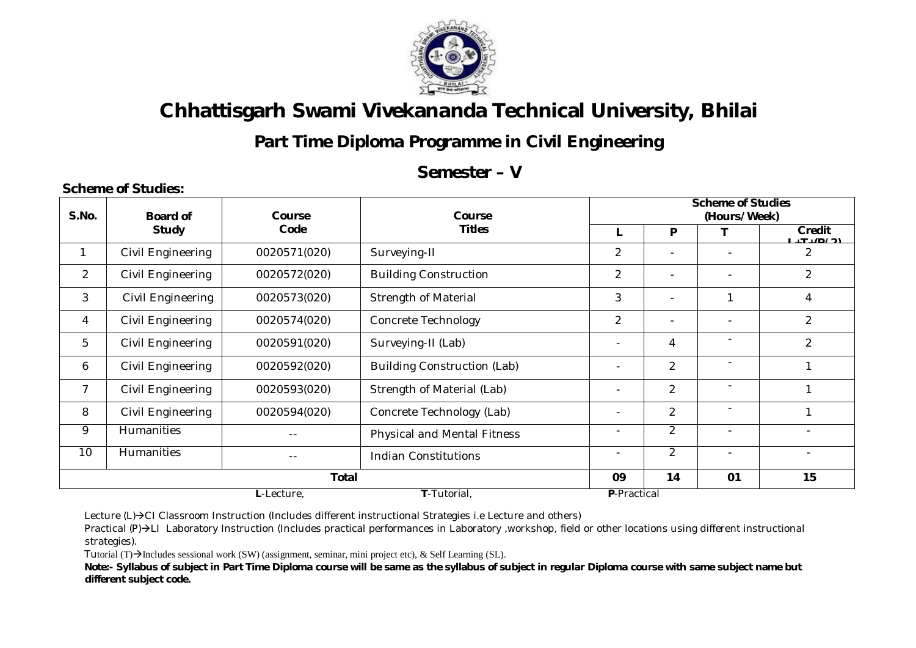

## **Part Time Diploma Programme in Civil Engineering**

### **Semester – V**

#### **Scheme of Studies:**

|                | Board of          | Course       |                                    | <b>Course</b>            |                          |                          | <b>Scheme of Studies</b> |  |
|----------------|-------------------|--------------|------------------------------------|--------------------------|--------------------------|--------------------------|--------------------------|--|
| S.No.          |                   |              |                                    |                          |                          | (Hours/Week)             |                          |  |
|                | <b>Study</b>      | Code         | <b>Titles</b>                      |                          | P                        |                          | Credit<br>T/(D/2)        |  |
| 1              | Civil Engineering | 0020571(020) | Surveying-II                       | $\overline{2}$           | $\blacksquare$           |                          | 2                        |  |
| $\overline{2}$ | Civil Engineering | 0020572(020) | <b>Building Construction</b>       | $\overline{2}$           | $\overline{\phantom{0}}$ |                          | $\overline{c}$           |  |
| 3              | Civil Engineering | 0020573(020) | <b>Strength of Material</b>        | 3                        | -                        |                          | 4                        |  |
| 4              | Civil Engineering | 0020574(020) | <b>Concrete Technology</b>         | $\overline{2}$           | $\overline{\phantom{a}}$ | $\overline{\phantom{0}}$ | $\overline{2}$           |  |
| 5              | Civil Engineering | 0020591(020) | Surveying-II (Lab)                 | $\overline{\phantom{a}}$ | 4                        |                          | $\overline{c}$           |  |
| 6              | Civil Engineering | 0020592(020) | <b>Building Construction (Lab)</b> | $\overline{\phantom{a}}$ | $\overline{2}$           |                          |                          |  |
| 7              | Civil Engineering | 0020593(020) | Strength of Material (Lab)         | $\overline{\phantom{a}}$ | $\overline{a}$           | $\overline{\phantom{a}}$ |                          |  |
| 8              | Civil Engineering | 0020594(020) | Concrete Technology (Lab)          | $\overline{\phantom{a}}$ | $\overline{2}$           | $\overline{\phantom{a}}$ |                          |  |
| 9              | <b>Humanities</b> |              | <b>Physical and Mental Fitness</b> | $\overline{\phantom{a}}$ | $\overline{2}$           |                          |                          |  |
| 10             | <b>Humanities</b> |              | <b>Indian Constitutions</b>        | $\overline{\phantom{a}}$ | $\overline{2}$           | $\overline{\phantom{a}}$ | $\overline{\phantom{a}}$ |  |
|                |                   | 09           | 14                                 | 01                       | 15                       |                          |                          |  |
|                |                   | L-Lecture,   | P-Practical                        |                          |                          |                          |                          |  |

Lecture  $(L)\rightarrow C1$  Classroom Instruction (Includes different instructional Strategies i.e Lecture and others)

Practical (P)->LI Laboratory Instruction (Includes practical performances in Laboratory ,workshop, field or other locations using different instructional strategies).

Tutorial (T) $\rightarrow$ Includes sessional work (SW) (assignment, seminar, mini project etc), & Self Learning (SL).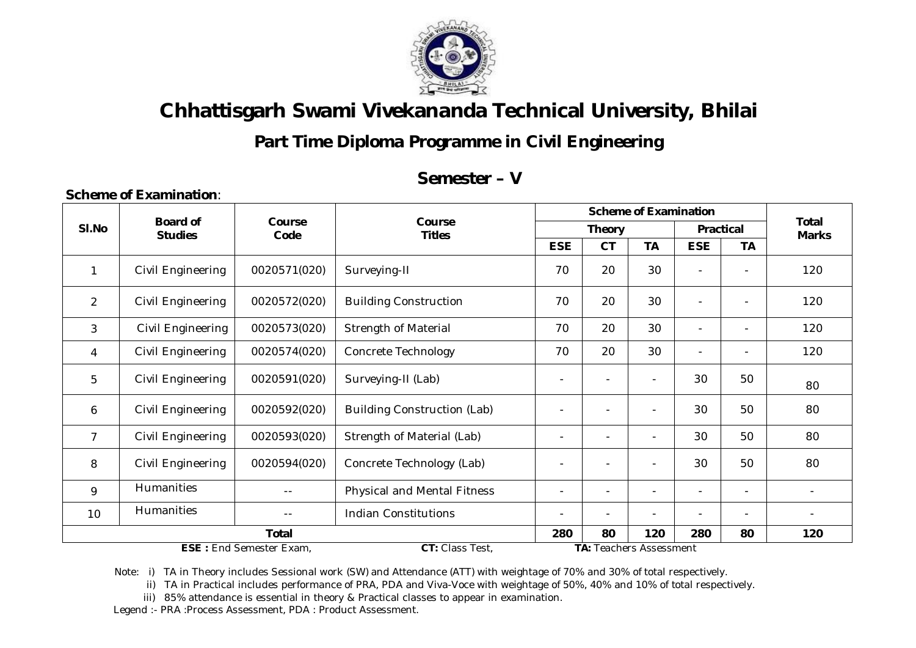

## **Part Time Diploma Programme in Civil Engineering**

### **Semester – V**

|                |                                   |                          |                                    |                                |                          | <b>Scheme of Examination</b> |                          |                | <b>Total</b> |
|----------------|-----------------------------------|--------------------------|------------------------------------|--------------------------------|--------------------------|------------------------------|--------------------------|----------------|--------------|
| SI.No          | <b>Board of</b><br><b>Studies</b> | Course<br>Code           | Course<br><b>Titles</b>            |                                | <b>Theory</b>            |                              | Practical                |                | <b>Marks</b> |
|                |                                   |                          |                                    | <b>ESE</b>                     | <b>CT</b>                | <b>TA</b>                    | <b>ESE</b>               | <b>TA</b>      |              |
| 1              | Civil Engineering                 | 0020571(020)             | Surveying-II                       | 70                             | 20                       | 30                           | $\overline{\phantom{0}}$ | $\blacksquare$ | 120          |
| $\overline{2}$ | Civil Engineering                 | 0020572(020)             | <b>Building Construction</b>       | 70                             | 20                       | 30                           | $\overline{\phantom{a}}$ | $\blacksquare$ | 120          |
| 3              | Civil Engineering                 | 0020573(020)             | <b>Strength of Material</b>        | 70                             | 20                       | 30                           | $\blacksquare$           | $\blacksquare$ | 120          |
| 4              | Civil Engineering                 | 0020574(020)             | <b>Concrete Technology</b>         | 70                             | 20                       | 30                           | $\overline{\phantom{a}}$ | $\blacksquare$ | 120          |
| 5              | Civil Engineering                 | 0020591(020)             | Surveying-II (Lab)                 |                                | $\overline{a}$           |                              | 30                       | 50             | 80           |
| 6              | Civil Engineering                 | 0020592(020)             | <b>Building Construction (Lab)</b> |                                | $\overline{\phantom{0}}$ |                              | 30                       | 50             | 80           |
| $\overline{7}$ | Civil Engineering                 | 0020593(020)             | Strength of Material (Lab)         |                                | $\overline{\phantom{0}}$ | $\overline{\phantom{0}}$     | 30                       | 50             | 80           |
| 8              | Civil Engineering                 | 0020594(020)             | Concrete Technology (Lab)          |                                |                          |                              | 30                       | 50             | 80           |
| 9              | Humanities                        | $- -$                    | <b>Physical and Mental Fitness</b> | $\overline{\phantom{a}}$       | $\blacksquare$           | $\sim$                       | $\blacksquare$           | $\blacksquare$ |              |
| 10             | Humanities                        | $\overline{\phantom{0}}$ | $\overline{\phantom{0}}$           |                                | $\blacksquare$           | $\qquad \qquad -$            |                          |                |              |
|                | <b>Total</b>                      |                          |                                    |                                |                          | 120                          | 280                      | 80             | 120          |
|                | <b>ESE: End Semester Exam.</b>    |                          |                                    | <b>TA: Teachers Assessment</b> |                          |                              |                          |                |              |

Note: i) TA in Theory includes Sessional work (SW) and Attendance (ATT) with weightage of 70% and 30% of total respectively.

ii) TA in Practical includes performance of PRA, PDA and Viva-Voce with weightage of 50%, 40% and 10% of total respectively.

iii) 85% attendance is essential in theory & Practical classes to appear in examination.

Legend :- PRA :Process Assessment, PDA : Product Assessment.

**Scheme of Examination**: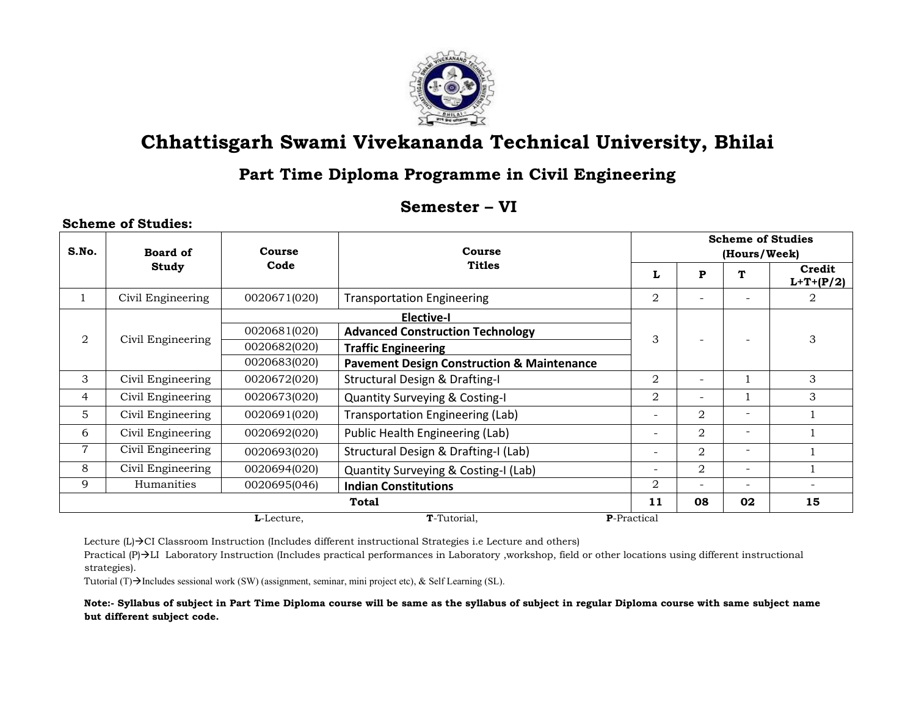

#### Part Time Diploma Programme in Civil Engineering

#### Semester - VI

|       | <b>Scheme of Studies:</b> |              |                                                       |                                          |                          |                          |                       |  |
|-------|---------------------------|--------------|-------------------------------------------------------|------------------------------------------|--------------------------|--------------------------|-----------------------|--|
| S.No. | <b>Board of</b>           | Course       | Course                                                | <b>Scheme of Studies</b><br>(Hours/Week) |                          |                          |                       |  |
|       | Study                     | Code         | <b>Titles</b>                                         | L                                        | P                        | т                        | Credit<br>$L+T+(P/2)$ |  |
|       | Civil Engineering         | 0020671(020) | <b>Transportation Engineering</b>                     | $\overline{2}$                           |                          |                          | 2                     |  |
|       |                           |              | <b>Elective-I</b>                                     |                                          |                          |                          |                       |  |
| 2     | Civil Engineering         | 0020681(020) | <b>Advanced Construction Technology</b>               | 3                                        |                          |                          | 3                     |  |
|       |                           | 0020682(020) | <b>Traffic Engineering</b>                            |                                          |                          |                          |                       |  |
|       |                           | 0020683(020) | <b>Pavement Design Construction &amp; Maintenance</b> |                                          |                          |                          |                       |  |
| 3     | Civil Engineering         | 0020672(020) | <b>Structural Design &amp; Drafting-I</b>             | $\overline{2}$                           | $\overline{\phantom{a}}$ |                          | 3                     |  |
| 4     | Civil Engineering         | 0020673(020) | <b>Quantity Surveying &amp; Costing-I</b>             | 2                                        | $\overline{\phantom{a}}$ |                          | 3                     |  |
| 5     | Civil Engineering         | 0020691(020) | <b>Transportation Engineering (Lab)</b>               | $\overline{\phantom{a}}$                 | 2                        | $\overline{\phantom{a}}$ |                       |  |
| 6     | Civil Engineering         | 0020692(020) | Public Health Engineering (Lab)                       | $\overline{\phantom{a}}$                 | 2                        | $\overline{\phantom{a}}$ |                       |  |
| 7     | Civil Engineering         | 0020693(020) | Structural Design & Drafting-I (Lab)                  | $\overline{\phantom{a}}$                 | 2                        | $\overline{\phantom{a}}$ |                       |  |
| 8     | Civil Engineering         | 0020694(020) | Quantity Surveying & Costing-I (Lab)                  | $\overline{\phantom{a}}$                 | $\overline{2}$           | $\overline{\phantom{a}}$ |                       |  |
| 9     | Humanities                | 0020695(046) | <b>Indian Constitutions</b>                           | 2                                        | $\overline{\phantom{a}}$ | $\overline{\phantom{a}}$ |                       |  |
|       |                           |              | Total                                                 | 11                                       | 08                       | 02                       | 15                    |  |
|       |                           | L-Lecture.   | T-Tutorial.                                           | <b>P</b> -Practical                      |                          |                          |                       |  |

Lecture (L) > CI Classroom Instruction (Includes different instructional Strategies i.e Lecture and others)

Practical  $(P) \rightarrow LI$  Laboratory Instruction (Includes practical performances in Laboratory ,workshop, field or other locations using different instructional strategies).

Tutorial (T)→Includes sessional work (SW) (assignment, seminar, mini project etc), & Self Learning (SL).